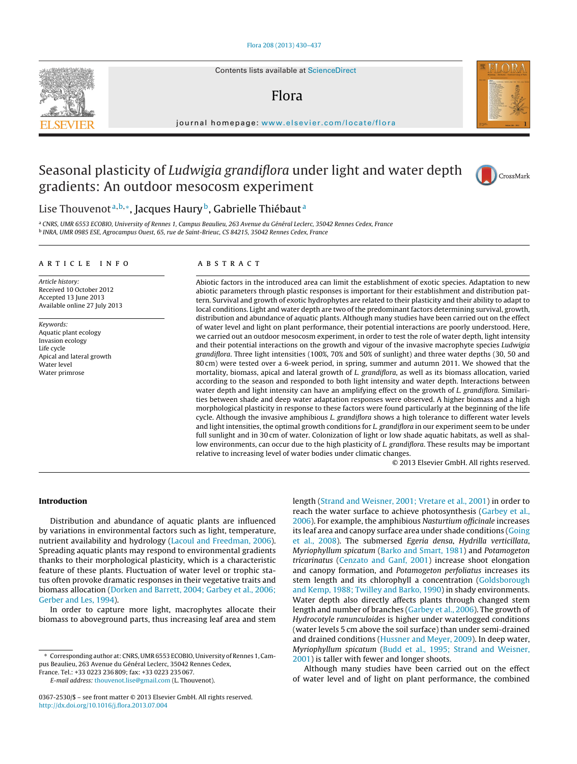Contents lists available at [ScienceDirect](http://www.sciencedirect.com/science/journal/03672530)

## Flora

journal homepage: [www.elsevier.com/locate/flora](http://www.elsevier.com/locate/flora)

# Seasonal plasticity of Ludwigia grandiflora under light and water depth gradients: An outdoor mesocosm experiment

## Lise Thouvenot<sup>a, b,∗</sup>, Jacques Haury<sup>b</sup>, Gabrielle Thiébaut<sup>a</sup>

<sup>a</sup> CNRS, UMR 6553 ECOBIO, University of Rennes 1, Campus Beaulieu, 263 Avenue du Général Leclerc, 35042 Rennes Cedex, France <sup>b</sup> INRA, UMR 0985 ESE, Agrocampus Ouest, 65, rue de Saint-Brieuc, CS 84215, 35042 Rennes Cedex, France

## a r t i c l e i n f o

Article history: Received 10 October 2012 Accepted 13 June 2013 Available online 27 July 2013

Keywords: Aquatic plant ecology Invasion ecology Life cycle Apical and lateral growth Water level Water primrose

## A B S T R A C T

Abiotic factors in the introduced area can limit the establishment of exotic species. Adaptation to new abiotic parameters through plastic responses is important for their establishment and distribution pattern. Survival and growth of exotic hydrophytes are related to their plasticity and their ability to adapt to local conditions. Light and water depth are two of the predominant factors determining survival, growth, distribution and abundance of aquatic plants. Although many studies have been carried out on the effect of water level and light on plant performance, their potential interactions are poorly understood. Here, we carried out an outdoor mesocosm experiment, in order to test the role of water depth, light intensity and their potential interactions on the growth and vigour of the invasive macrophyte species Ludwigia grandiflora. Three light intensities (100%, 70% and 50% of sunlight) and three water depths (30, 50 and 80 cm) were tested over a 6-week period, in spring, summer and autumn 2011. We showed that the mortality, biomass, apical and lateral growth of L. grandiflora, as well as its biomass allocation, varied according to the season and responded to both light intensity and water depth. Interactions between water depth and light intensity can have an amplifying effect on the growth of L. grandiflora. Similarities between shade and deep water adaptation responses were observed. A higher biomass and a high morphological plasticity in response to these factors were found particularly at the beginning of the life cycle. Although the invasive amphibious L. grandiflora shows a high tolerance to different water levels and light intensities, the optimal growth conditions for L. grandiflora in our experiment seem to be under full sunlight and in 30 cm of water. Colonization of light or low shade aquatic habitats, as well as shallow environments, can occur due to the high plasticity of L. grandiflora. These results may be important relative to increasing level of water bodies under climatic changes.

© 2013 Elsevier GmbH. All rights reserved.

## **Introduction**

Distribution and abundance of aquatic plants are influenced by variations in environmental factors such as light, temperature, nutrient availability and hydrology [\(Lacoul](#page-7-0) [and](#page-7-0) [Freedman,](#page-7-0) [2006\).](#page-7-0) Spreading aquatic plants may respond to environmental gradients thanks to their morphological plasticity, which is a characteristic feature of these plants. Fluctuation of water level or trophic status often provoke dramatic responses in their vegetative traits and biomass allocation ([Dorken](#page-7-0) [and](#page-7-0) [Barrett,](#page-7-0) [2004;](#page-7-0) [Garbey](#page-7-0) et [al.,](#page-7-0) [2006;](#page-7-0) [Gerber](#page-7-0) [and](#page-7-0) [Les,](#page-7-0) [1994\).](#page-7-0)

In order to capture more light, macrophytes allocate their biomass to aboveground parts, thus increasing leaf area and stem

France. Tel.: +33 0223 236 809; fax: +33 0223 235 067.

E-mail address: [thouvenot.lise@gmail.com](mailto:thouvenot.lise@gmail.com) (L. Thouvenot).

length ([Strand](#page-7-0) [and](#page-7-0) [Weisner,](#page-7-0) [2001;](#page-7-0) [Vretare](#page-7-0) et [al.,](#page-7-0) [2001\)](#page-7-0) in order to reach the water surface to achieve photosynthesis ([Garbey](#page-7-0) et [al.,](#page-7-0) [2006\).](#page-7-0) For example, the amphibious Nasturtium officinale increases its leaf area and canopy surface area under shade conditions [\(Going](#page-7-0) et [al.,](#page-7-0) [2008\).](#page-7-0) The submersed Egeria densa, Hydrilla verticillata, Myriophyllum spicatum ([Barko](#page-6-0) [and](#page-6-0) [Smart,](#page-6-0) [1981\)](#page-6-0) and Potamogeton tricarinatus ([Cenzato](#page-7-0) [and](#page-7-0) [Ganf,](#page-7-0) [2001\)](#page-7-0) increase shoot elongation and canopy formation, and Potamogeton perfoliatus increases its stem length and its chlorophyll a concentration [\(Goldsborough](#page-7-0) [and](#page-7-0) [Kemp,](#page-7-0) [1988;](#page-7-0) [Twilley](#page-7-0) [and](#page-7-0) [Barko,](#page-7-0) [1990\)](#page-7-0) in shady environments. Water depth also directly affects plants through changed stem length and number of branches ([Garbey](#page-7-0) et [al.,](#page-7-0) [2006\).](#page-7-0) The growth of Hydrocotyle ranunculoides is higher under waterlogged conditions (water levels 5 cm above the soil surface) than under semi-drained and drained conditions [\(Hussner](#page-7-0) [and](#page-7-0) [Meyer,](#page-7-0) [2009\).](#page-7-0) In deep water, Myriophyllum spicatum [\(Budd](#page-7-0) et [al.,](#page-7-0) [1995;](#page-7-0) [Strand](#page-7-0) [and](#page-7-0) [Weisner,](#page-7-0) [2001\)](#page-7-0) is taller with fewer and longer shoots.

Although many studies have been carried out on the effect of water level and of light on plant performance, the combined







<sup>∗</sup> Corresponding author at: CNRS, UMR 6553 ECOBIO, University of Rennes 1, Campus Beaulieu, 263 Avenue du Général Leclerc, 35042 Rennes Cedex,

<sup>0367-2530/\$</sup> – see front matter © 2013 Elsevier GmbH. All rights reserved. [http://dx.doi.org/10.1016/j.flora.2013.07.004](dx.doi.org/10.1016/j.flora.2013.07.004)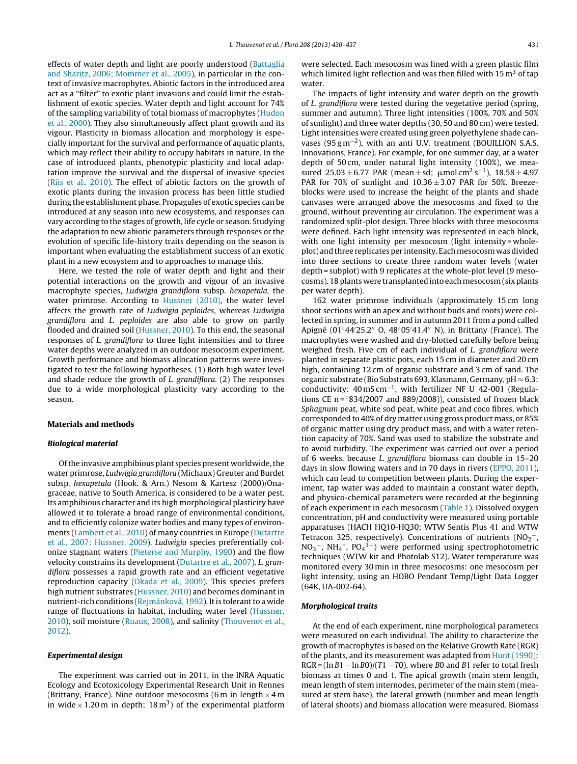effects of water depth and light are poorly understood ([Battaglia](#page-6-0) [and](#page-6-0) [Sharitz,](#page-6-0) [2006;](#page-6-0) [Mommer](#page-6-0) et [al.,](#page-6-0) [2005\),](#page-6-0) in particular in the context of invasive macrophytes. Abiotic factors in the introduced area act as a "filter" to exotic plant invasions and could limit the establishment of exotic species. Water depth and light account for 74% of the sampling variability of total biomass of macrophytes ([Hudon](#page-7-0) et [al.,](#page-7-0) [2000\).](#page-7-0) They also simultaneously affect plant growth and its vigour. Plasticity in biomass allocation and morphology is especially important for the survival and performance of aquatic plants, which may reflect their ability to occupy habitats in nature. In the case of introduced plants, phenotypic plasticity and local adaptation improve the survival and the dispersal of invasive species ([Riis](#page-7-0) et [al.,](#page-7-0) [2010\).](#page-7-0) The effect of abiotic factors on the growth of exotic plants during the invasion process has been little studied during the establishment phase. Propagules of exotic species can be introduced at any season into new ecosystems, and responses can vary according to the stages of growth, life cycle or season. Studying the adaptation to new abiotic parameters through responses or the evolution of specific life-history traits depending on the season is important when evaluating the establishment success of an exotic plant in a new ecosystem and to approaches to manage this.

Here, we tested the role of water depth and light and their potential interactions on the growth and vigour of an invasive macrophyte species, Ludwigia grandiflora subsp. hexapetala, the water primrose. According to [Hussner](#page-7-0) [\(2010\),](#page-7-0) the water level affects the growth rate of Ludwigia peploides, whereas Ludwigia grandiflora and L. peploides are also able to grow on partly flooded and drained soil ([Hussner,](#page-7-0) [2010\).](#page-7-0) To this end, the seasonal responses of L. grandiflora to three light intensities and to three water depths were analyzed in an outdoor mesocosm experiment. Growth performance and biomass allocation patterns were investigated to test the following hypotheses. (1) Both high water level and shade reduce the growth of L. grandiflora. (2) The responses due to a wide morphological plasticity vary according to the season.

## **Materials and methods**

## **Biological material**

Of the invasive amphibious plant species present worldwide, the water primrose, Ludwigia grandiflora (Michaux) Greuter and Burdet subsp. hexapetala (Hook. & Arn.) Nesom & Kartesz (2000)/Onagraceae, native to South America, is considered to be a water pest. Its amphibious character and its high morphological plasticity have allowed it to tolerate a broad range of environmental conditions, and to efficiently colonize water bodies and many types of environments ([Lambert](#page-7-0) et [al.,](#page-7-0) [2010\)](#page-7-0) of many countries in Europe ([Dutartre](#page-7-0) et [al.,](#page-7-0) [2007;](#page-7-0) [Hussner,](#page-7-0) [2009\).](#page-7-0) Ludwigia species preferentially colonize stagnant waters [\(Pieterse](#page-7-0) [and](#page-7-0) [Murphy,](#page-7-0) [1990\)](#page-7-0) and the flow velocity constrains its development [\(Dutartre](#page-7-0) et [al.,](#page-7-0) [2007\).](#page-7-0) L. grandiflora possesses a rapid growth rate and an efficient vegetative reproduction capacity [\(Okada](#page-7-0) et [al.,](#page-7-0) [2009\).](#page-7-0) This species prefers high nutrient substrates [\(Hussner,](#page-7-0) [2010\)](#page-7-0) and becomes dominant in nutrient-rich conditions ([Rejmánková,](#page-7-0) [1992\).](#page-7-0) It is tolerant to a wide range of fluctuations in habitat, including water level [\(Hussner,](#page-7-0) [2010\),](#page-7-0) soil moisture [\(Ruaux,](#page-7-0) [2008\),](#page-7-0) and salinity [\(Thouvenot](#page-7-0) et [al.,](#page-7-0) [2012\).](#page-7-0)

## **Experimental design**

The experiment was carried out in 2011, in the INRA Aquatic Ecology and Ecotoxicology Experimental Research Unit in Rennes (Brittany, France). Nine outdoor mesocosms (6 m in length  $\times$  4 m in wide  $\times$  1.20 m in depth; 18 m<sup>3</sup>) of the experimental platform were selected. Each mesocosm was lined with a green plastic film which limited light reflection and was then filled with  $15 \text{ m}^3$  of tap water.

The impacts of light intensity and water depth on the growth of L. grandiflora were tested during the vegetative period (spring, summer and autumn). Three light intensities (100%, 70% and 50% of sunlight) and three water depths (30, 50 and 80 cm) were tested. Light intensities were created using green polyethylene shade canvases (95 g m<sup>-2</sup>), with an anti U.V. treatment (BOUILLION S.A.S. Innovations, France). For example, for one summer day, at a water depth of 50 cm, under natural light intensity (100%), we measured  $25.03 \pm 6.77$  PAR (mean  $\pm$  sd;  $\mu$ mol cm<sup>2</sup> s<sup>-1</sup>), 18.58  $\pm$  4.97 PAR for 70% of sunlight and  $10.36 \pm 3.07$  PAR for 50%. Breezeblocks were used to increase the height of the plants and shade canvases were arranged above the mesocosms and fixed to the ground, without preventing air circulation. The experiment was a randomized split-plot design. Three blocks with three mesocosms were defined. Each light intensity was represented in each block, with one light intensity per mesocosm (light intensity = wholeplot) and three replicates per intensity. Each mesocosm was divided into three sections to create three random water levels (water depth = subplot) with 9 replicates at the whole-plot level (9 mesocosms). 18 plants were transplanted into each mesocosm (six plants per water depth).

162 water primrose individuals (approximately 15 cm long shoot sections with an apex and without buds and roots) were collected in spring, in summer and in autumn 2011 from a pond called Apigné (01°44′25.2″ O, 48°05′41.4″ N), in Brittany (France). The macrophytes were washed and dry-blotted carefully before being weighed fresh. Five cm of each individual of L. grandiflora were planted in separate plastic pots, each 15 cm in diameter and 20 cm high, containing 12 cm of organic substrate and 3 cm of sand. The organic substrate (Bio Substrats 693, Klasmann, Germany, pH  $\approx$  6.3; conductivity: 40 mS cm−1, with fertilizer NF U 42-001 (Regulations CE n =  $834/2007$  and 889/2008)), consisted of frozen black Sphagnum peat, white sod peat, white peat and coco fibres, which corresponded to 40% of dry matter using gross product mass, or 85% of organic matter using dry product mass, and with a water retention capacity of 70%. Sand was used to stabilize the substrate and to avoid turbidity. The experiment was carried out over a period of 6 weeks, because L. grandiflora biomass can double in 15–20 days in slow flowing waters and in 70 days in rivers ([EPPO,](#page-7-0) [2011\),](#page-7-0) which can lead to competition between plants. During the experiment, tap water was added to maintain a constant water depth, and physico-chemical parameters were recorded at the beginning of each experiment in each mesocosm ([Table](#page-2-0) 1). Dissolved oxygen concentration, pH and conductivity were measured using portable apparatuses (HACH HQ10-HQ30; WTW Sentis Plus 41 and WTW Tetracon 325, respectively). Concentrations of nutrients (NO $_2^{\rm -}$ ,  $NO<sub>3</sub>^-$ , NH<sub>4</sub><sup>+</sup>, PO<sub>4</sub><sup>3-</sup>) were performed using spectrophotometric techniques (WTW kit and Photolab S12). Water temperature was monitored every 30 min in three mesocosms: one mesocosm per light intensity, using an HOBO Pendant Temp/Light Data Logger (64K, UA-002-64).

## **Morphological traits**

At the end of each experiment, nine morphological parameters were measured on each individual. The ability to characterize the growth of macrophytes is based on the Relative Growth Rate (RGR) of the plants, and its measurement was adapted from [Hunt](#page-7-0) [\(1990\):](#page-7-0)  $RGR = (\ln B1 - \ln B0)/(T1 - T0)$ , where B0 and B1 refer to total fresh biomass at times 0 and 1. The apical growth (main stem length, mean length of stem internodes, perimeter of the main stem (measured at stem base), the lateral growth (number and mean length of lateral shoots) and biomass allocation were measured. Biomass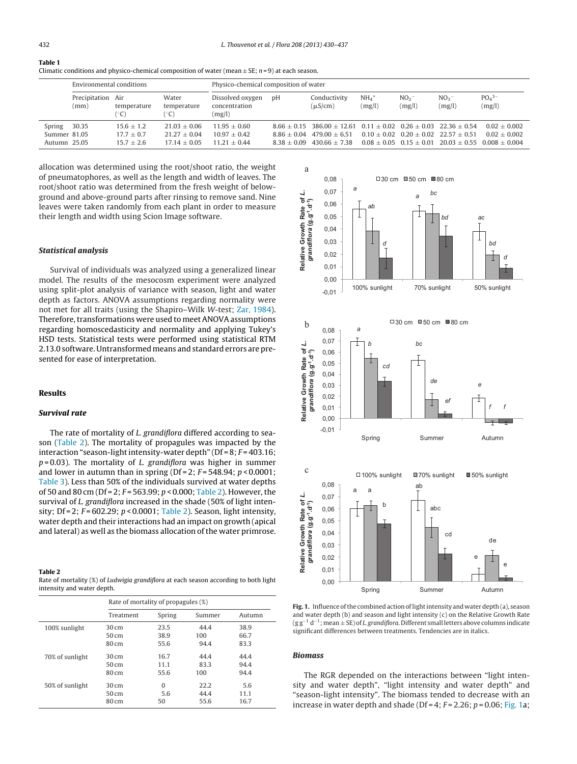<span id="page-2-0"></span>

| ł |  |
|---|--|
|   |  |

| Table 1                                                                                            |  |
|----------------------------------------------------------------------------------------------------|--|
| Climatic conditions and physico-chemical composition of water (mean $\pm$ SE; n=9) at each season. |  |

|                                        | Environmental conditions |                                              |                                                    | Physico-chemical composition of water            |                                |                                                                                                         |                               |                           |                                            |                                                                                                |
|----------------------------------------|--------------------------|----------------------------------------------|----------------------------------------------------|--------------------------------------------------|--------------------------------|---------------------------------------------------------------------------------------------------------|-------------------------------|---------------------------|--------------------------------------------|------------------------------------------------------------------------------------------------|
|                                        | Precipitation<br>(mm)    | Air<br>temperature<br>(°C)                   | Water<br>temperature                               | Dissolved oxygen<br>concentration<br>(mg/l)      | pH                             | Conductivity<br>$(\mu S/cm)$                                                                            | $NH_4$ <sup>+</sup><br>(mg/l) | NO <sub>2</sub><br>(mg/l) | NO <sub>3</sub><br>(mg/l)                  | $PO4$ <sup>3-</sup><br>(mg/l)                                                                  |
| Spring<br>Summer 81.05<br>Autumn 25.05 | 30.35                    | $15.6 + 1.2$<br>$17.7 + 0.7$<br>$15.7 + 2.6$ | $21.03 + 0.06$<br>$21.27 + 0.04$<br>$17.14 + 0.05$ | $11.95 + 0.60$<br>$10.97 + 0.42$<br>$1121 + 044$ | $8.86 + 0.04$<br>$8.38 + 0.09$ | $8.66 + 0.15$ 386.00 + 12.61 0.11 + 0.02 0.26 + 0.03 22.36 + 0.54<br>$479.00 + 6.51$<br>$430.66 + 7.38$ |                               |                           | $0.10 + 0.02$ $0.20 + 0.02$ $22.57 + 0.51$ | $0.02 + 0.002$<br>$0.02 + 0.002$<br>$0.08 + 0.05$ $0.15 + 0.01$ $20.03 + 0.55$ $0.008 + 0.004$ |

allocation was determined using the root/shoot ratio, the weight of pneumatophores, as well as the length and width of leaves. The root/shoot ratio was determined from the fresh weight of belowground and above-ground parts after rinsing to remove sand. Nine leaves were taken randomly from each plant in order to measure their length and width using Scion Image software.

## **Statistical analysis**

Survival of individuals was analyzed using a generalized linear model. The results of the mesocosm experiment were analyzed using split-plot analysis of variance with season, light and water depth as factors. ANOVA assumptions regarding normality were not met for all traits (using the Shapiro–Wilk W-test; [Zar,](#page-7-0) [1984\).](#page-7-0) Therefore, transformations were used to meet ANOVA assumptions regarding homoscedasticity and normality and applying Tukey's HSD tests. Statistical tests were performed using statistical RTM 2.13.0 software. Untransformed means and standard errors are presented for ease of interpretation.

## **Results**

## **Survival rate**

The rate of mortality of L. grandiflora differed according to season (Table 2). The mortality of propagules was impacted by the interaction "season-light intensity-water depth" ( $Df = 8$ ;  $F = 403.16$ ;  $p = 0.03$ ). The mortality of L. grandiflora was higher in summer and lower in autumn than in spring ( $Df = 2$ ;  $F = 548.94$ ;  $p < 0.0001$ ; [Table](#page-3-0) 3). Less than 50% of the individuals survived at water depths of 50 and 80 cm (Df = 2;  $F = 563.99$ ;  $p < 0.000$ ; Table 2). However, the survival of L. grandiflora increased in the shade (50% of light intensity; Df = 2;  $F = 602.29$ ;  $p < 0.0001$ ; Table 2). Season, light intensity, water depth and their interactions had an impact on growth (apical and lateral) as well as the biomass allocation of the water primrose.

#### **Table 2**

Rate of mortality (%) of Ludwigia grandiflora at each season according to both light intensity and water depth.

|                 | Rate of mortality of propagules (%) |          |        |        |
|-----------------|-------------------------------------|----------|--------|--------|
|                 | Treatment                           | Spring   | Summer | Autumn |
| 100% sunlight   | $30 \, \text{cm}$                   | 23.5     | 44.4   | 38.9   |
|                 | 50 cm                               | 38.9     | 100    | 66.7   |
|                 | 80 cm                               | 55.6     | 94.4   | 83.3   |
| 70% of sunlight | $30 \, \text{cm}$                   | 16.7     | 44.4   | 44.4   |
|                 | 50 cm                               | 11.1     | 83.3   | 94.4   |
|                 | 80 cm                               | 55.6     | 100    | 94.4   |
| 50% of sunlight | $30 \, \text{cm}$                   | $\Omega$ | 22.2   | 5.6    |
|                 | 50 cm                               | 5.6      | 44.4   | 11.1   |
|                 | 80 cm                               | 50       | 55.6   | 16.7   |



Fig. 1. Influence of the combined action of light intensity and water depth (a), season and water depth (b) and season and light intensity (c) on the Relative Growth Rate (g  $g^{-1}$  d<sup>-1</sup>; mean  $\pm$  SE) of L. grandiflora. Different small letters above columns indicate significant differences between treatments. Tendencies are in italics.

## **Biomass**

The RGR depended on the interactions between "light intensity and water depth", "light intensity and water depth" and "season-light intensity". The biomass tended to decrease with an increase in water depth and shade (Df = 4;  $F = 2.26$ ;  $p = 0.06$ ; Fig. 1a;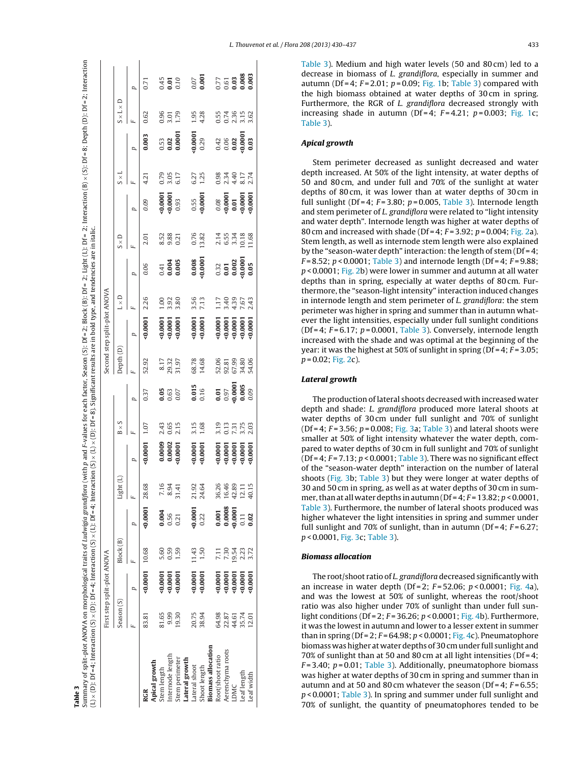<span id="page-3-0"></span>

|                      |                                         | First step split-plot ANOVA |           |                                                          |                         |                                                           |                              |                                        |                                  | Second step split-plot ANOVA                             |                             |                                                       |                                                  |                                                                                     |                         |                                                 |                             |                                                                                                                                                                                                                                                                                                                                                                                                                |
|----------------------|-----------------------------------------|-----------------------------|-----------|----------------------------------------------------------|-------------------------|-----------------------------------------------------------|------------------------------|----------------------------------------|----------------------------------|----------------------------------------------------------|-----------------------------|-------------------------------------------------------|--------------------------------------------------|-------------------------------------------------------------------------------------|-------------------------|-------------------------------------------------|-----------------------------|----------------------------------------------------------------------------------------------------------------------------------------------------------------------------------------------------------------------------------------------------------------------------------------------------------------------------------------------------------------------------------------------------------------|
|                      | Season (S)                              |                             | Block (B) |                                                          | Light (                 |                                                           | $B \times S$                 |                                        | Jepth (D)                        |                                                          | $L \times D$                |                                                       | $S \times D$                                     |                                                                                     | $\overline{s} \times 1$ |                                                 | $S \times L \times D$       |                                                                                                                                                                                                                                                                                                                                                                                                                |
|                      |                                         |                             |           |                                                          |                         | p                                                         |                              | p                                      |                                  |                                                          |                             |                                                       |                                                  |                                                                                     |                         |                                                 |                             |                                                                                                                                                                                                                                                                                                                                                                                                                |
| RGR                  | 83.81                                   | $0.0001$ 10.68              |           | 0.0001                                                   | 28.68                   | 0.0001                                                    | 1.07                         | 0.37                                   | 52.92                            | :0.0001                                                  | 2.26                        | 0.06                                                  | 2.01                                             | 0.09                                                                                | 4.21                    | 0.003                                           | 0.62                        | 571                                                                                                                                                                                                                                                                                                                                                                                                            |
| <b>Apical growth</b> |                                         |                             |           |                                                          |                         |                                                           |                              |                                        |                                  |                                                          |                             |                                                       |                                                  |                                                                                     |                         |                                                 |                             |                                                                                                                                                                                                                                                                                                                                                                                                                |
| item length          | 81.65                                   |                             | 5.60      |                                                          | 7.16                    |                                                           |                              |                                        |                                  |                                                          |                             |                                                       |                                                  |                                                                                     |                         |                                                 |                             |                                                                                                                                                                                                                                                                                                                                                                                                                |
| Internode length     | 9.99                                    | $-0.0001$                   | 0.59      | $0.56$<br>$0.56$<br>$0.21$                               | 8.94<br>31.41           | $\begin{array}{c} 0.0009 \\ 0.0002 \\ 0.0001 \end{array}$ | 2.43<br>0.55<br>2.15         | $0.63$<br>$0.63$<br>$0.07$             | 8.17<br>29.32<br>31.97           | $0.0001$<br>$0.0001$<br>$0.0001$                         | $1.00$<br>$3.80$<br>$3.80$  | $\begin{array}{c} 0.41 \\ 0.004 \\ 0.005 \end{array}$ | 53<br>8.88<br>0.21                               | $\begin{array}{c} 0.0001\ 0.0001\ 0.93 \end{array}$                                 | 0.79<br>3.05<br>6.17    | 0.53<br>0.02<br>0.0001                          | 0.96<br>3.01<br>1.79        | $0.45$<br>0.01<br>0.10                                                                                                                                                                                                                                                                                                                                                                                         |
| Stem perimeter       | 19.30                                   | $-0.0001$                   | 1.59      |                                                          |                         |                                                           |                              |                                        |                                  |                                                          |                             |                                                       |                                                  |                                                                                     |                         |                                                 |                             |                                                                                                                                                                                                                                                                                                                                                                                                                |
| Lateral growth       |                                         |                             |           |                                                          |                         |                                                           |                              |                                        |                                  |                                                          |                             |                                                       |                                                  |                                                                                     |                         |                                                 |                             |                                                                                                                                                                                                                                                                                                                                                                                                                |
| Lateral shoot        | 20.75<br>38.94                          | 0.0001                      | 11.43     | $-0.0001$                                                | 21.92<br>24.64          |                                                           | $3.15$<br>$1.68$             | $0.015$<br>$0.16$                      | 68.78<br>14.68                   | $-0.0001$                                                | 3.56<br>7.13                |                                                       | 0.76<br>13.82                                    |                                                                                     | 6.27<br>1.25            | $0.0001$<br>$0.29$                              | $1.95$<br>$4.28$            |                                                                                                                                                                                                                                                                                                                                                                                                                |
| Shoot length         |                                         | 0.0001                      | 1.50      | 0.22                                                     |                         | 0.0001                                                    |                              |                                        |                                  |                                                          |                             | $0.008$<br>$0.0001$                                   |                                                  | $0.55$<br>$0.0001$                                                                  |                         |                                                 |                             | $0.07$<br>0.001                                                                                                                                                                                                                                                                                                                                                                                                |
| Biomass allocation   |                                         |                             |           |                                                          |                         |                                                           |                              |                                        |                                  |                                                          |                             |                                                       |                                                  |                                                                                     |                         |                                                 |                             |                                                                                                                                                                                                                                                                                                                                                                                                                |
| Root/shoot ratio     |                                         |                             | 7.11      |                                                          |                         |                                                           |                              |                                        |                                  |                                                          | 1.17                        |                                                       |                                                  |                                                                                     |                         |                                                 |                             |                                                                                                                                                                                                                                                                                                                                                                                                                |
| Aerenchyma roots     |                                         | 0.0001                      | 7.30      | $\begin{array}{c} 0.001 \\ 0.0008 \\ 0.0001 \end{array}$ | 36.26<br>16.46          |                                                           |                              |                                        |                                  |                                                          |                             |                                                       |                                                  |                                                                                     |                         |                                                 |                             |                                                                                                                                                                                                                                                                                                                                                                                                                |
| LDMC                 |                                         | 0.0001                      | 19.54     |                                                          |                         |                                                           |                              |                                        |                                  |                                                          |                             |                                                       |                                                  |                                                                                     |                         |                                                 |                             |                                                                                                                                                                                                                                                                                                                                                                                                                |
| Leaf length          | 64.87<br>22.51<br>24.51<br>25.74<br>201 | :0.0001                     | 2.23      | 0.11                                                     | 42.89<br>12.11<br>40.15 | $0.0001$<br>$0.0001$<br>$0.0001$<br>$0.0001$              | 3.13<br>0.13<br>7.75<br>2.03 | 0.01<br>0.97<br>0.005<br>0.009<br>0.00 | 52.06<br>92.31<br>67.39<br>54.06 | $0.0001$<br>$0.0001$<br>$0.0001$<br>$0.0001$<br>$0.0001$ | $49907$<br>$7907$<br>$7473$ | ្ល<br>0.000<br>0.000<br>0.000                         | $7.578$<br>$0.578$<br>$0.68$<br>$0.58$<br>$0.68$ | $\begin{array}{c} 0.08 \\ 0.0001 \\ 0.01 \\ 0.0001 \\ 0.0001 \\ 0.0001 \end{array}$ | 0.3140.74<br>0.3140.74  | ្ន<br>ភូមិ <b>នី នី នី</b><br>ភូមិ <b>ទី ទី</b> | 55<br>0.74 562<br>0.0 7 562 | $\begin{array}{@{}c@{\hspace{1em}}c@{\hspace{1em}}c@{\hspace{1em}}c@{\hspace{1em}}c@{\hspace{1em}}c@{\hspace{1em}}c@{\hspace{1em}}c@{\hspace{1em}}c@{\hspace{1em}}c@{\hspace{1em}}c@{\hspace{1em}}c@{\hspace{1em}}c@{\hspace{1em}}c@{\hspace{1em}}c@{\hspace{1em}}c@{\hspace{1em}}c@{\hspace{1em}}c@{\hspace{1em}}c@{\hspace{1em}}c@{\hspace{1em}}c@{\hspace{1em}}c@{\hspace{1em}}c@{\hspace{1em}}c@{\hspace{$ |
| Leaf width           |                                         | 0.0001                      | 3.72      | 0.02                                                     |                         | 0.0001                                                    |                              |                                        |                                  |                                                          |                             |                                                       |                                                  |                                                                                     |                         |                                                 |                             |                                                                                                                                                                                                                                                                                                                                                                                                                |
|                      |                                         |                             |           |                                                          |                         |                                                           |                              |                                        |                                  |                                                          |                             |                                                       |                                                  |                                                                                     |                         |                                                 |                             |                                                                                                                                                                                                                                                                                                                                                                                                                |

Table 3). Medium and high water levels (50 and 80 cm) led to a decrease in biomass of L. grandiflora , especially in summer and autumn (Df = 4;  $F = 2.01$ ;  $p = 0.09$ ; [Fig.](#page-2-0) 1b; Table 3) compared with the high biomass obtained at water depths of 30 cm in spring. Furthermore, the RGR of L. grandiflora decreased strongly with increasing shade in autumn (Df=4;  $F=4.21$ ;  $p=0.003$ ; [Fig.](#page-2-0) 1c; Table 3).

## **Apical growth**

Stem perimeter decreased as sunlight decreased and water depth increased. At 50% of the light intensity, at water depths of 50 and 80 cm, and under full and 70% of the sunlight at water depths of 80 cm, it was lower than at water depths of 30 cm in full sunlight (Df = 4;  $F = 3.80$ ;  $p = 0.005$ , Table 3). Internode length and stem perimeter of L. grandiflora were related to "light intensity and water depth". Internode length was higher at water depths of 80 cm and increased with shade (Df = 4;  $F = 3.92$ ;  $p = 0.004$ ; [Fig.](#page-4-0) 2a). Stem length, as well as internode stem length were also explained by the "season-water depth" interaction: the length of stem (Df = 4; F=8.52; p<0.0001; Table 3) and internode length (Df=4; F=9.88; p < 0.0001; [Fig.](#page-4-0) 2b) were lower in summer and autumn at all water depths than in spring, especially at water depths of 80 cm. Furthermore, the "season-light intensity" interaction induced changes in internode length and stem perimeter of *L. grandiflora*: the stem perimeter was higher in spring and summer than in autumn whatever the light intensities, especially under full sunlight conditions (Df = 4;  $F$  = 6.17;  $p$  = 0.0001, Table 3). Conversely, internode length increased with the shade and was optimal at the beginning of the year: it was the highest at 50% of sunlight in spring (Df = 4; F = 3.05; p = 0.02; [Fig.](#page-4-0) 2c).

## **Lateral growth**

The production of lateral shoots decreased with increased water depth and shade: L. grandiflora produced more lateral shoots at water depths of 30 cm under full sunlight and 70% of sunlight (Df = 4;  $F = 3.56$ ;  $p = 0.008$ ; [Fig.](#page-4-0) 3a; Table 3) and lateral shoots were smaller at 50% of light intensity whatever the water depth, compared to water depths of 30 cm in full sunlight and 70% of sunlight (Df = 4;  $F$  = 7.13;  $p < 0.0001$ ; Table 3). There was no significant effect of the "season-water depth" interaction on the number of lateral shoots [\(Fig.](#page-4-0) 3b; Table 3 ) but they were longer at water depths of 30 and 50 cm in spring, as well as at water depths of 30 cm in summer, than at all water depths in autumn ( $Df = 4$ ;  $F = 13.82$ ;  $p < 0.0001$ , Table 3). Furthermore, the number of lateral shoots produced was higher whatever the light intensities in spring and summer under full sunlight and 70% of sunlight, than in autumn (Df=4;  $F = 6.27$ ; p < 0.0001, [Fig.](#page-4-0) 3c; Table 3).

## **Biomass allocation**

The root/shoot ratio of L. grandiflora decreased significantly with an increase in water depth (Df = 2;  $F = 52.06$ ;  $p < 0.0001$ ; [Fig.](#page-4-0) 4a), and was the lowest at 50% of sunlight, whereas the root/shoot ratio was also higher under 70% of sunlight than under full sunlight conditions (Df = 2;  $F = 36.26$ ;  $p < 0.0001$ ; [Fig.](#page-4-0) 4b). Furthermore, it was the lowest in autumn and lower to a lesser extent in summer than in spring (Df = 2;  $F$  = 64.98;  $p$  < 0.0001; [Fig.](#page-4-0) 4c). Pneumatophore biomass washigher at water depths of 30 cmunder full sunlight and 70% of sunlight than at 50 and 80 cm at all light intensities (Df = 4;  $F$ = 3.40;  $p$  = 0.01; Table 3). Additionally, pneumatophore biomass was higher at water depths of 30 cm in spring and summer than in autumn and at 50 and 80 cm whatever the season (Df = 4;  $F$  = 6.55; p<0.0001; Table 3). In spring and summer under full sunlight and 70% of sunlight, the quantity of pneumatophores tended to be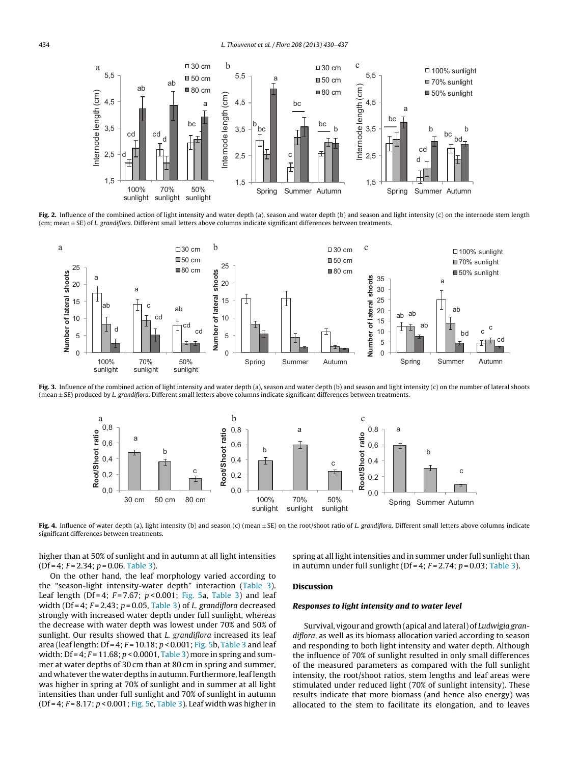<span id="page-4-0"></span>

Fig. 2. Influence of the combined action of light intensity and water depth (a), season and water depth (b) and season and light intensity (c) on the internode stem length (cm; mean  $\pm$  SE) of L. grandiflora. Different small letters above columns indicate significant differences between treatments.



**Fig. 3.** Influence of the combined action of light intensity and water depth (a), season and water depth (b) and season and light intensity (c) on the number of lateral shoots (mean ± SE) produced by L. grandiflora. Different small letters above columns indicate significant differences between treatments.



**Fig. 4.** Influence of water depth (a), light intensity (b) and season (c) (mean ± SE) on the root/shoot ratio of L. grandiflora. Different small letters above columns indicate significant differences between treatments.

higher than at 50% of sunlight and in autumn at all light intensities  $(Df=4; F=2.34; p=0.06, Table 3).$  $(Df=4; F=2.34; p=0.06, Table 3).$  $(Df=4; F=2.34; p=0.06, Table 3).$ On the other hand, the leaf morphology varied according to

the "season-light intensity-water depth" interaction [\(Table](#page-3-0) 3). Leaf length (Df = 4;  $F = 7.67$ ;  $p < 0.001$ ; [Fig.](#page-5-0) 5a, [Table](#page-3-0) 3) and leaf width (Df = 4;  $F = 2.43$ ;  $p = 0.05$ , [Table](#page-3-0) 3) of L. grandiflora decreased strongly with increased water depth under full sunlight, whereas the decrease with water depth was lowest under 70% and 50% of sunlight. Our results showed that *L. grandiflora* increased its leaf area (leaf length:  $Df = 4$ ;  $F = 10.18$ ;  $p < 0.001$ ; [Fig.](#page-5-0) 5b, [Table](#page-3-0) 3 and leaf width:  $Df = 4$ ;  $F = 11.68$ ;  $p < 0.0001$ , [Table](#page-3-0) 3) more in spring and summer at water depths of 30 cm than at 80 cm in spring and summer, and whatever the water depths in autumn. Furthermore, leaflength was higher in spring at 70% of sunlight and in summer at all light intensities than under full sunlight and 70% of sunlight in autumn ( $Df = 4$ ;  $F = 8.17$ ;  $p < 0.001$ ; [Fig.](#page-5-0) 5c, [Table](#page-3-0) 3). Leaf width was higher in spring at all light intensities and in summer under full sunlight than in autumn under full sunlight (Df = 4;  $F = 2.74$ ;  $p = 0.03$ ; [Table](#page-3-0) 3).

## **Discussion**

## **Responses to light intensity and to water level**

Survival, vigour and growth (apical and lateral) of Ludwigia grandiflora, as well as its biomass allocation varied according to season and responding to both light intensity and water depth. Although the influence of 70% of sunlight resulted in only small differences of the measured parameters as compared with the full sunlight intensity, the root/shoot ratios, stem lengths and leaf areas were stimulated under reduced light (70% of sunlight intensity). These results indicate that more biomass (and hence also energy) was allocated to the stem to facilitate its elongation, and to leaves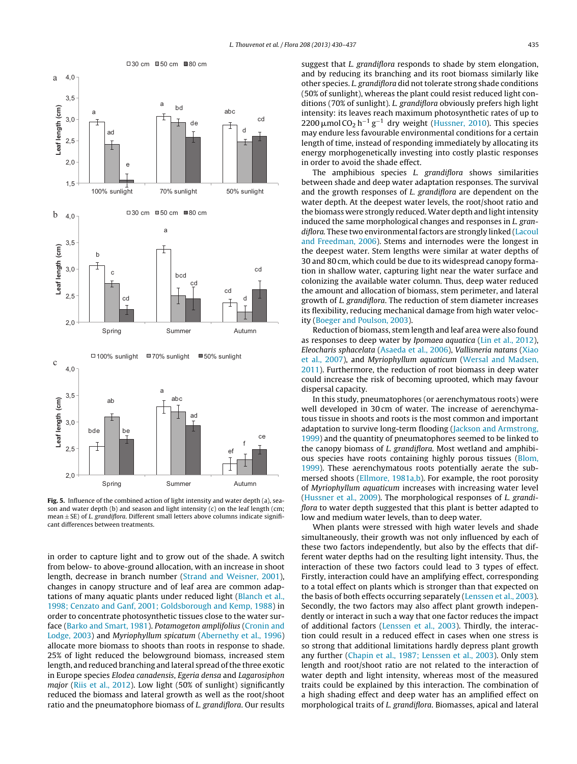<span id="page-5-0"></span>

**Fig. 5.** Influence of the combined action of light intensity and water depth (a), season and water depth (b) and season and light intensity (c) on the leaf length (cm; mean  $\pm$  SE) of *L. grandiflora*. Different small letters above columns indicate significant differences between treatments.

in order to capture light and to grow out of the shade. A switch from below- to above-ground allocation, with an increase in shoot length, decrease in branch number ([Strand](#page-7-0) [and](#page-7-0) [Weisner,](#page-7-0) [2001\),](#page-7-0) changes in canopy structure and of leaf area are common adaptations of many aquatic plants under reduced light [\(Blanch](#page-7-0) et [al.,](#page-7-0) [1998;](#page-7-0) [Cenzato](#page-7-0) [and](#page-7-0) [Ganf,](#page-7-0) [2001;](#page-7-0) [Goldsborough](#page-7-0) [and](#page-7-0) [Kemp,](#page-7-0) [1988\)](#page-7-0) in order to concentrate photosynthetic tissues close to the water surface [\(Barko](#page-6-0) [and](#page-6-0) [Smart,](#page-6-0) [1981\).](#page-6-0) Potamogeton amplifolius ([Cronin](#page-7-0) [and](#page-7-0) [Lodge,](#page-7-0) [2003\)](#page-7-0) and Myriophyllum spicatum ([Abernethy](#page-6-0) et [al.,](#page-6-0) [1996\)](#page-6-0) allocate more biomass to shoots than roots in response to shade. 25% of light reduced the belowground biomass, increased stem length, and reduced branching and lateral spread of the three exotic in Europe species Elodea canadensis, Egeria densa and Lagarosiphon major ([Riis](#page-7-0) et [al.,](#page-7-0) [2012\).](#page-7-0) Low light (50% of sunlight) significantly reduced the biomass and lateral growth as well as the root/shoot ratio and the pneumatophore biomass of L. grandiflora. Our results suggest that L. grandiflora responds to shade by stem elongation, and by reducing its branching and its root biomass similarly like other species. L. grandiflora did not tolerate strong shade conditions (50% of sunlight), whereas the plant could resist reduced light conditions (70% of sunlight). L. grandiflora obviously prefers high light intensity: its leaves reach maximum photosynthetic rates of up to 2200  $\mu$ mol CO<sub>2</sub> h<sup>-1</sup> g<sup>-1</sup> dry weight ([Hussner,](#page-7-0) [2010\).](#page-7-0) This species may endure less favourable environmental conditions for a certain length of time, instead of responding immediately by allocating its energy morphogenetically investing into costly plastic responses in order to avoid the shade effect.

The amphibious species *L. grandiflora* shows similarities between shade and deep water adaptation responses. The survival and the growth responses of L. grandiflora are dependent on the water depth. At the deepest water levels, the root/shoot ratio and the biomass were strongly reduced. Water depth and light intensity induced the same morphological changes and responses in L. gran-diflora. These two environmental factors are strongly linked [\(Lacoul](#page-7-0) [and](#page-7-0) [Freedman,](#page-7-0) [2006\).](#page-7-0) Stems and internodes were the longest in the deepest water. Stem lengths were similar at water depths of 30 and 80 cm, which could be due to its widespread canopy formation in shallow water, capturing light near the water surface and colonizing the available water column. Thus, deep water reduced the amount and allocation of biomass, stem perimeter, and lateral growth of L. grandiflora. The reduction of stem diameter increases its flexibility, reducing mechanical damage from high water velocity ([Boeger](#page-7-0) [and](#page-7-0) [Poulson,](#page-7-0) [2003\).](#page-7-0)

Reduction of biomass, stem length and leaf area were also found as responses to deep water by Ipomaea aquatica [\(Lin](#page-7-0) et [al.,](#page-7-0) [2012\),](#page-7-0) Eleocharis sphacelata [\(Asaeda](#page-6-0) et [al.,](#page-6-0) [2006\),](#page-6-0) Vallisneria natans ([Xiao](#page-7-0) et [al.,](#page-7-0) [2007\),](#page-7-0) and Myriophyllum aquaticum ([Wersal](#page-7-0) [and](#page-7-0) [Madsen,](#page-7-0) [2011\).](#page-7-0) Furthermore, the reduction of root biomass in deep water could increase the risk of becoming uprooted, which may favour dispersal capacity.

In this study, pneumatophores (or aerenchymatous roots) were well developed in 30 cm of water. The increase of aerenchymatous tissue in shoots and roots is the most common and important adaptation to survive long-term flooding ([Jackson](#page-7-0) [and](#page-7-0) [Armstrong,](#page-7-0) [1999\)](#page-7-0) and the quantity of pneumatophores seemed to be linked to the canopy biomass of L. grandiflora. Most wetland and amphibious species have roots containing highly porous tissues [\(Blom,](#page-7-0) [1999\).](#page-7-0) These aerenchymatous roots potentially aerate the sub-mersed shoots [\(Ellmore,](#page-7-0) [1981a,b\).](#page-7-0) For example, the root porosity of Myriophyllum aquaticum increases with increasing water level [\(Hussner](#page-7-0) et [al.,](#page-7-0) [2009\).](#page-7-0) The morphological responses of L. grandiflora to water depth suggested that this plant is better adapted to low and medium water levels, than to deep water.

When plants were stressed with high water levels and shade simultaneously, their growth was not only influenced by each of these two factors independently, but also by the effects that different water depths had on the resulting light intensity. Thus, the interaction of these two factors could lead to 3 types of effect. Firstly, interaction could have an amplifying effect, corresponding to a total effect on plants which is stronger than that expected on the basis of both effects occurring separately ([Lenssen](#page-7-0) et [al.,](#page-7-0) [2003\).](#page-7-0) Secondly, the two factors may also affect plant growth independently or interact in such a way that one factor reduces the impact of additional factors [\(Lenssen](#page-7-0) et [al.,](#page-7-0) [2003\).](#page-7-0) Thirdly, the interaction could result in a reduced effect in cases when one stress is so strong that additional limitations hardly depress plant growth any further [\(Chapin](#page-7-0) et [al.,](#page-7-0) [1987;](#page-7-0) [Lenssen](#page-7-0) et [al.,](#page-7-0) [2003\).](#page-7-0) Only stem length and root/shoot ratio are not related to the interaction of water depth and light intensity, whereas most of the measured traits could be explained by this interaction. The combination of a high shading effect and deep water has an amplified effect on morphological traits of L. grandiflora. Biomasses, apical and lateral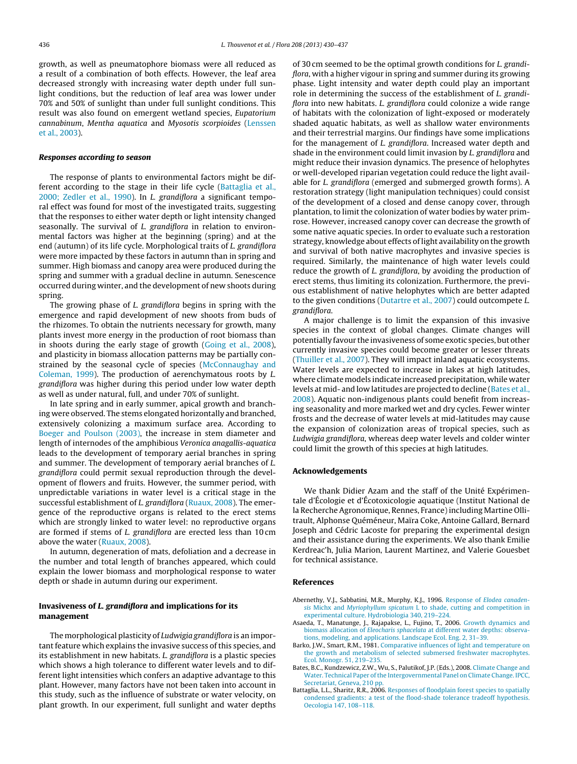<span id="page-6-0"></span>growth, as well as pneumatophore biomass were all reduced as a result of a combination of both effects. However, the leaf area decreased strongly with increasing water depth under full sunlight conditions, but the reduction of leaf area was lower under 70% and 50% of sunlight than under full sunlight conditions. This result was also found on emergent wetland species, Eupatorium cannabinum, Mentha aquatica and Myosotis scorpioides ([Lenssen](#page-7-0) et [al.,](#page-7-0) [2003\).](#page-7-0)

## **Responses according to season**

The response of plants to environmental factors might be different according to the stage in their life cycle ([Battaglia](#page-7-0) et [al.,](#page-7-0) [2000;](#page-7-0) [Zedler](#page-7-0) et [al.,](#page-7-0) [1990\).](#page-7-0) In L. grandiflora a significant temporal effect was found for most of the investigated traits, suggesting that the responses to either water depth or light intensity changed seasonally. The survival of L. grandiflora in relation to environmental factors was higher at the beginning (spring) and at the end (autumn) of its life cycle. Morphological traits of L. grandiflora were more impacted by these factors in autumn than in spring and summer. High biomass and canopy area were produced during the spring and summer with a gradual decline in autumn. Senescence occurred during winter, and the development of new shoots during spring.

The growing phase of L. grandiflora begins in spring with the emergence and rapid development of new shoots from buds of the rhizomes. To obtain the nutrients necessary for growth, many plants invest more energy in the production of root biomass than in shoots during the early stage of growth ([Going](#page-7-0) et [al.,](#page-7-0) [2008\),](#page-7-0) and plasticity in biomass allocation patterns may be partially constrained by the seasonal cycle of species ([McConnaughay](#page-7-0) [and](#page-7-0) [Coleman,](#page-7-0) [1999\).](#page-7-0) The production of aerenchymatous roots by L. grandiflora was higher during this period under low water depth as well as under natural, full, and under 70% of sunlight.

In late spring and in early summer, apical growth and branching were observed. The stems elongated horizontally and branched, extensively colonizing a maximum surface area. According to [Boeger](#page-7-0) [and](#page-7-0) [Poulson](#page-7-0) [\(2003\),](#page-7-0) the increase in stem diameter and length of internodes of the amphibious Veronica anagallis-aquatica leads to the development of temporary aerial branches in spring and summer. The development of temporary aerial branches of L. grandiflora could permit sexual reproduction through the development of flowers and fruits. However, the summer period, with unpredictable variations in water level is a critical stage in the successful establishment of L. grandiflora [\(Ruaux,](#page-7-0) [2008\).](#page-7-0) The emergence of the reproductive organs is related to the erect stems which are strongly linked to water level: no reproductive organs are formed if stems of L. grandiflora are erected less than 10 cm above the water [\(Ruaux,](#page-7-0) [2008\).](#page-7-0)

In autumn, degeneration of mats, defoliation and a decrease in the number and total length of branches appeared, which could explain the lower biomass and morphological response to water depth or shade in autumn during our experiment.

## **Invasiveness of L. grandiflora and implications for its management**

The morphological plasticity of Ludwigia grandiflora is an important feature which explains the invasive success of this species, and its establishment in new habitats. L. grandiflora is a plastic species which shows a high tolerance to different water levels and to different light intensities which confers an adaptive advantage to this plant. However, many factors have not been taken into account in this study, such as the influence of substrate or water velocity, on plant growth. In our experiment, full sunlight and water depths of 30 cm seemed to be the optimal growth conditions for L. grandiflora, with a higher vigour in spring and summer during its growing phase. Light intensity and water depth could play an important role in determining the success of the establishment of L. grandiflora into new habitats. L. grandiflora could colonize a wide range of habitats with the colonization of light-exposed or moderately shaded aquatic habitats, as well as shallow water environments and their terrestrial margins. Our findings have some implications for the management of L. grandiflora. Increased water depth and shade in the environment could limit invasion by L. grandiflora and might reduce their invasion dynamics. The presence of helophytes or well-developed riparian vegetation could reduce the light available for L. grandiflora (emerged and submerged growth forms). A restoration strategy (light manipulation techniques) could consist of the development of a closed and dense canopy cover, through plantation, to limit the colonization of water bodies by water primrose. However, increased canopy cover can decrease the growth of some native aquatic species. In order to evaluate such a restoration strategy, knowledge about effects of light availability on the growth and survival of both native macrophytes and invasive species is required. Similarly, the maintenance of high water levels could reduce the growth of L. grandiflora, by avoiding the production of erect stems, thus limiting its colonization. Furthermore, the previous establishment of native helophytes which are better adapted to the given conditions [\(Dutartre](#page-7-0) et [al.,](#page-7-0) [2007\)](#page-7-0) could outcompete L. grandiflora.

A major challenge is to limit the expansion of this invasive species in the context of global changes. Climate changes will potentially favour the invasiveness of some exotic species, but other currently invasive species could become greater or lesser threats [\(Thuiller](#page-7-0) et [al.,](#page-7-0) [2007\).](#page-7-0) They will impact inland aquatic ecosystems. Water levels are expected to increase in lakes at high latitudes, where climate models indicate increased precipitation, while water levels at mid- and low latitudes are projected to decline (Bates et al., 2008). Aquatic non-indigenous plants could benefit from increasing seasonality and more marked wet and dry cycles. Fewer winter frosts and the decrease of water levels at mid-latitudes may cause the expansion of colonization areas of tropical species, such as Ludwigia grandiflora, whereas deep water levels and colder winter could limit the growth of this species at high latitudes.

## **Acknowledgements**

We thank Didier Azam and the staff of the Unité Expérimentale d'Écologie et d'Écotoxicologie aquatique (Institut National de la Recherche Agronomique, Rennes, France) including Martine Ollitrault, Alphonse Quéméneur, Maïra Coke, Antoine Gallard, Bernard Joseph and Cédric Lacoste for preparing the experimental design and their assistance during the experiments. We also thank Emilie Kerdreac'h, Julia Marion, Laurent Martinez, and Valerie Gouesbet for technical assistance.

## **References**

- Abernethy, V.J., Sabbatini, M.R., Murphy, K.J., 1996. [Response](http://refhub.elsevier.com/S0367-2530(13)00076-5/sbref0005) [of](http://refhub.elsevier.com/S0367-2530(13)00076-5/sbref0005) [Elodea](http://refhub.elsevier.com/S0367-2530(13)00076-5/sbref0005) [canaden](http://refhub.elsevier.com/S0367-2530(13)00076-5/sbref0005)[sis](http://refhub.elsevier.com/S0367-2530(13)00076-5/sbref0005) [Michx](http://refhub.elsevier.com/S0367-2530(13)00076-5/sbref0005) [and](http://refhub.elsevier.com/S0367-2530(13)00076-5/sbref0005) [Myriophyllum](http://refhub.elsevier.com/S0367-2530(13)00076-5/sbref0005) [spicatum](http://refhub.elsevier.com/S0367-2530(13)00076-5/sbref0005) [L](http://refhub.elsevier.com/S0367-2530(13)00076-5/sbref0005) [to](http://refhub.elsevier.com/S0367-2530(13)00076-5/sbref0005) [shade,](http://refhub.elsevier.com/S0367-2530(13)00076-5/sbref0005) [cutting](http://refhub.elsevier.com/S0367-2530(13)00076-5/sbref0005) [and](http://refhub.elsevier.com/S0367-2530(13)00076-5/sbref0005) [competition](http://refhub.elsevier.com/S0367-2530(13)00076-5/sbref0005) [in](http://refhub.elsevier.com/S0367-2530(13)00076-5/sbref0005) [experimental](http://refhub.elsevier.com/S0367-2530(13)00076-5/sbref0005) [culture.](http://refhub.elsevier.com/S0367-2530(13)00076-5/sbref0005) [Hydrobiologia](http://refhub.elsevier.com/S0367-2530(13)00076-5/sbref0005) [340,](http://refhub.elsevier.com/S0367-2530(13)00076-5/sbref0005) [219–224.](http://refhub.elsevier.com/S0367-2530(13)00076-5/sbref0005)
- Asaeda, T., Manatunge, J., Rajapakse, L., Fujino, T., 2006. [Growth](http://refhub.elsevier.com/S0367-2530(13)00076-5/sbref0010) [dynamics](http://refhub.elsevier.com/S0367-2530(13)00076-5/sbref0010) [and](http://refhub.elsevier.com/S0367-2530(13)00076-5/sbref0010) [biomass](http://refhub.elsevier.com/S0367-2530(13)00076-5/sbref0010) [allocation](http://refhub.elsevier.com/S0367-2530(13)00076-5/sbref0010) [of](http://refhub.elsevier.com/S0367-2530(13)00076-5/sbref0010) [Eleocharis](http://refhub.elsevier.com/S0367-2530(13)00076-5/sbref0010) [sphacelata](http://refhub.elsevier.com/S0367-2530(13)00076-5/sbref0010) [at](http://refhub.elsevier.com/S0367-2530(13)00076-5/sbref0010) [different](http://refhub.elsevier.com/S0367-2530(13)00076-5/sbref0010) [water](http://refhub.elsevier.com/S0367-2530(13)00076-5/sbref0010) [depths:](http://refhub.elsevier.com/S0367-2530(13)00076-5/sbref0010) [observa](http://refhub.elsevier.com/S0367-2530(13)00076-5/sbref0010)[tions,](http://refhub.elsevier.com/S0367-2530(13)00076-5/sbref0010) [modeling,](http://refhub.elsevier.com/S0367-2530(13)00076-5/sbref0010) [and](http://refhub.elsevier.com/S0367-2530(13)00076-5/sbref0010) [applications.](http://refhub.elsevier.com/S0367-2530(13)00076-5/sbref0010) [Landscape](http://refhub.elsevier.com/S0367-2530(13)00076-5/sbref0010) [Ecol.](http://refhub.elsevier.com/S0367-2530(13)00076-5/sbref0010) [Eng.](http://refhub.elsevier.com/S0367-2530(13)00076-5/sbref0010) [2,](http://refhub.elsevier.com/S0367-2530(13)00076-5/sbref0010) [31](http://refhub.elsevier.com/S0367-2530(13)00076-5/sbref0010)–[39.](http://refhub.elsevier.com/S0367-2530(13)00076-5/sbref0010)
- Barko, J.W., Smart, R.M., 1981. [Comparative](http://refhub.elsevier.com/S0367-2530(13)00076-5/sbref0015) [influences](http://refhub.elsevier.com/S0367-2530(13)00076-5/sbref0015) [of](http://refhub.elsevier.com/S0367-2530(13)00076-5/sbref0015) [light](http://refhub.elsevier.com/S0367-2530(13)00076-5/sbref0015) [and](http://refhub.elsevier.com/S0367-2530(13)00076-5/sbref0015) [temperature](http://refhub.elsevier.com/S0367-2530(13)00076-5/sbref0015) [on](http://refhub.elsevier.com/S0367-2530(13)00076-5/sbref0015) [the](http://refhub.elsevier.com/S0367-2530(13)00076-5/sbref0015) [growth](http://refhub.elsevier.com/S0367-2530(13)00076-5/sbref0015) [and](http://refhub.elsevier.com/S0367-2530(13)00076-5/sbref0015) [metabolism](http://refhub.elsevier.com/S0367-2530(13)00076-5/sbref0015) [of](http://refhub.elsevier.com/S0367-2530(13)00076-5/sbref0015) [selected](http://refhub.elsevier.com/S0367-2530(13)00076-5/sbref0015) [submersed](http://refhub.elsevier.com/S0367-2530(13)00076-5/sbref0015) [freshwater](http://refhub.elsevier.com/S0367-2530(13)00076-5/sbref0015) [macrophytes.](http://refhub.elsevier.com/S0367-2530(13)00076-5/sbref0015) [Ecol.](http://refhub.elsevier.com/S0367-2530(13)00076-5/sbref0015) [Monogr.](http://refhub.elsevier.com/S0367-2530(13)00076-5/sbref0015) [51,](http://refhub.elsevier.com/S0367-2530(13)00076-5/sbref0015) [219](http://refhub.elsevier.com/S0367-2530(13)00076-5/sbref0015)–[235.](http://refhub.elsevier.com/S0367-2530(13)00076-5/sbref0015)
- Bates, B.C., Kundzewicz, Z.W., Wu, S., Palutikof, J.P. (Eds.), 2008. [Climate](http://refhub.elsevier.com/S0367-2530(13)00076-5/sbref0020) [Change](http://refhub.elsevier.com/S0367-2530(13)00076-5/sbref0020) [and](http://refhub.elsevier.com/S0367-2530(13)00076-5/sbref0020) [Water.](http://refhub.elsevier.com/S0367-2530(13)00076-5/sbref0020) [Technical](http://refhub.elsevier.com/S0367-2530(13)00076-5/sbref0020) [Paper](http://refhub.elsevier.com/S0367-2530(13)00076-5/sbref0020) of the [Intergovernmental](http://refhub.elsevier.com/S0367-2530(13)00076-5/sbref0020) [Panel](http://refhub.elsevier.com/S0367-2530(13)00076-5/sbref0020) [on](http://refhub.elsevier.com/S0367-2530(13)00076-5/sbref0020) [Climate](http://refhub.elsevier.com/S0367-2530(13)00076-5/sbref0020) [Change.](http://refhub.elsevier.com/S0367-2530(13)00076-5/sbref0020) [IPCC,](http://refhub.elsevier.com/S0367-2530(13)00076-5/sbref0020) [Secretariat,](http://refhub.elsevier.com/S0367-2530(13)00076-5/sbref0020) [Geneva,](http://refhub.elsevier.com/S0367-2530(13)00076-5/sbref0020) [210](http://refhub.elsevier.com/S0367-2530(13)00076-5/sbref0020) [pp.](http://refhub.elsevier.com/S0367-2530(13)00076-5/sbref0020)
- Battaglia, L.L., Sharitz, R.R., 2006. [Responses](http://refhub.elsevier.com/S0367-2530(13)00076-5/sbref0025) [of](http://refhub.elsevier.com/S0367-2530(13)00076-5/sbref0025) [floodplain](http://refhub.elsevier.com/S0367-2530(13)00076-5/sbref0025) [forest](http://refhub.elsevier.com/S0367-2530(13)00076-5/sbref0025) [species](http://refhub.elsevier.com/S0367-2530(13)00076-5/sbref0025) [to](http://refhub.elsevier.com/S0367-2530(13)00076-5/sbref0025) [spatially](http://refhub.elsevier.com/S0367-2530(13)00076-5/sbref0025) [condensed](http://refhub.elsevier.com/S0367-2530(13)00076-5/sbref0025) [gradients:](http://refhub.elsevier.com/S0367-2530(13)00076-5/sbref0025) [a](http://refhub.elsevier.com/S0367-2530(13)00076-5/sbref0025) [test](http://refhub.elsevier.com/S0367-2530(13)00076-5/sbref0025) [of](http://refhub.elsevier.com/S0367-2530(13)00076-5/sbref0025) [the](http://refhub.elsevier.com/S0367-2530(13)00076-5/sbref0025) [flood-shade](http://refhub.elsevier.com/S0367-2530(13)00076-5/sbref0025) [tolerance](http://refhub.elsevier.com/S0367-2530(13)00076-5/sbref0025) [tradeoff](http://refhub.elsevier.com/S0367-2530(13)00076-5/sbref0025) [hypothesis.](http://refhub.elsevier.com/S0367-2530(13)00076-5/sbref0025) [Oecologia](http://refhub.elsevier.com/S0367-2530(13)00076-5/sbref0025) [147,](http://refhub.elsevier.com/S0367-2530(13)00076-5/sbref0025) [108–118.](http://refhub.elsevier.com/S0367-2530(13)00076-5/sbref0025)